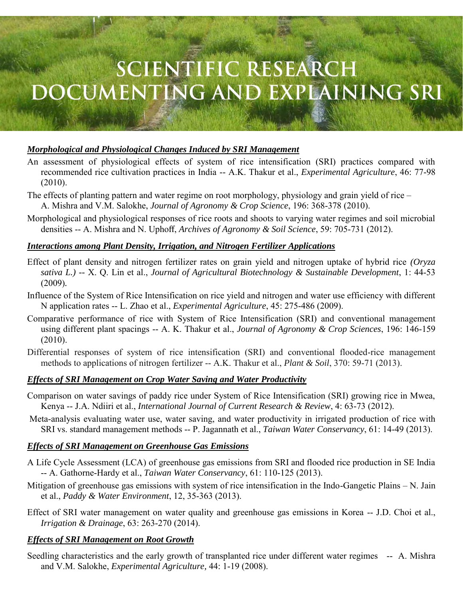# **SCIENTIFIC RESEARCH** DOCUMENTING AND EXPLAINING SRI

# *Morphological and Physiological Changes Induced by SRI Management*

- An assessment of physiological effects of system of rice intensification (SRI) practices compared with recommended rice cultivation practices in India -- A.K. Thakur et al., *Experimental Agriculture*, 46: 77-98 (2010).
- The effects of planting pattern and water regime on root morphology, physiology and grain yield of rice A. Mishra and V.M. Salokhe, *Journal of Agronomy & Crop Science*, 196: 368-378 (2010).
- Morphological and physiological responses of rice roots and shoots to varying water regimes and soil microbial densities -- A. Mishra and N. Uphoff, *Archives of Agronomy & Soil Science*, 59: 705-731 (2012).

#### *Interactions among Plant Density, Irrigation, and Nitrogen Fertilizer Applications*

- Effect of plant density and nitrogen fertilizer rates on grain yield and nitrogen uptake of hybrid rice *(Oryza sativa L.) --* X. Q. Lin et al., *Journal of Agricultural Biotechnology & Sustainable Development*, 1: 44-53 (2009)*.*
- Influence of the System of Rice Intensification on rice yield and nitrogen and water use efficiency with different N application rates -- L. Zhao et al., *Experimental Agriculture*, 45: 275-486 (2009).
- Comparative performance of rice with System of Rice Intensification (SRI) and conventional management using different plant spacings -- A. K. Thakur et al., *Journal of Agronomy & Crop Sciences*, 196: 146-159 (2010).
- Differential responses of system of rice intensification (SRI) and conventional flooded-rice management methods to applications of nitrogen fertilizer -- A.K. Thakur et al., *Plant & Soil*, 370: 59-71 (2013).

#### *Effects of SRI Management on Crop Water Saving and Water Productivity*

- Comparison on water savings of paddy rice under System of Rice Intensification (SRI) growing rice in Mwea, Kenya -- J.A. Ndiiri et al., *International Journal of Current Research & Review*, 4: 63-73 (2012).
- Meta-analysis evaluating water use, water saving, and water productivity in irrigated production of rice with SRI vs. standard management methods -- P. Jagannath et al., *Taiwan Water Conservancy*, 61: 14-49 (2013).

#### *Effects of SRI Management on Greenhouse Gas Emissions*

- A Life Cycle Assessment (LCA) of greenhouse gas emissions from SRI and flooded rice production in SE India -- A. Gathorne-Hardy et al., *Taiwan Water Conservancy*, 61: 110-125 (2013).
- Mitigation of greenhouse gas emissions with system of rice intensification in the Indo-Gangetic Plains N. Jain et al., *Paddy & Water Environment*, 12, 35-363 (2013).
- Effect of SRI water management on water quality and greenhouse gas emissions in Korea -- J.D. Choi et al., *Irrigation & Drainage*, 63: 263-270 (2014).

#### *Effects of SRI Management on Root Growth*

Seedling characteristics and the early growth of transplanted rice under different water regimes -- A. Mishra and V.M. Salokhe, *Experimental Agriculture,* 44: 1-19 (2008).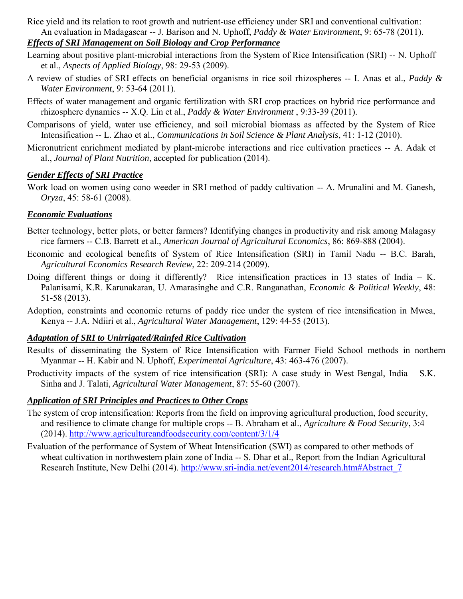Rice yield and its relation to root growth and nutrient-use efficiency under SRI and conventional cultivation: An evaluation in Madagascar -- J. Barison and N. Uphoff, *Paddy & Water Environment*, 9: 65-78 (2011).

# *Effects of SRI Management on Soil Biology and Crop Performance*

- Learning about positive plant-microbial interactions from the System of Rice Intensification (SRI) -- N. Uphoff et al., *Aspects of Applied Biology*, 98: 29-53 (2009).
- A review of studies of SRI effects on beneficial organisms in rice soil rhizospheres -- I. Anas et al., *Paddy & Water Environment*, 9: 53-64 (2011).
- Effects of water management and organic fertilization with SRI crop practices on hybrid rice performance and rhizosphere dynamics -- X.Q. Lin et al., *Paddy & Water Environment* , 9:33-39 (2011).
- Comparisons of yield, water use efficiency, and soil microbial biomass as affected by the System of Rice Intensification -- L. Zhao et al., *Communications in Soil Science & Plant Analysis*, 41: 1-12 (2010).
- Micronutrient enrichment mediated by plant-microbe interactions and rice cultivation practices -- A. Adak et al., *Journal of Plant Nutrition*, accepted for publication (2014).

# *Gender Effects of SRI Practice*

Work load on women using cono weeder in SRI method of paddy cultivation -- A. Mrunalini and M. Ganesh, *Oryza*, 45: 58-61 (2008).

#### *Economic Evaluations*

- Better technology, better plots, or better farmers? Identifying changes in productivity and risk among Malagasy rice farmers -- C.B. Barrett et al., *American Journal of Agricultural Economics*, 86: 869-888 (2004).
- Economic and ecological benefits of System of Rice Intensification (SRI) in Tamil Nadu -- B.C. Barah, *Agricultural Economics Research Review*, 22: 209-214 (2009).
- Doing different things or doing it differently? Rice intensification practices in 13 states of India K. Palanisami, K.R. Karunakaran, U. Amarasinghe and C.R. Ranganathan, *Economic & Political Weekly*, 48: 51-58 (2013).
- Adoption, constraints and economic returns of paddy rice under the system of rice intensification in Mwea, Kenya -- J.A. Ndiiri et al., *Agricultural Water Management*, 129: 44-55 (2013).

#### *Adaptation of SRI to Unirrigated/Rainfed Rice Cultivation*

- Results of disseminating the System of Rice Intensification with Farmer Field School methods in northern Myanmar -- H. Kabir and N. Uphoff, *Experimental Agriculture*, 43: 463-476 (2007).
- Productivity impacts of the system of rice intensification (SRI): A case study in West Bengal, India S.K. Sinha and J. Talati, *Agricultural Water Management*, 87: 55-60 (2007).

# *Application of SRI Principles and Practices to Other Crops*

- The system of crop intensification: Reports from the field on improving agricultural production, food security, and resilience to climate change for multiple crops -- B. Abraham et al., *Agriculture & Food Security*, 3:4 (2014).<http://www.agricultureandfoodsecurity.com/content/3/1/4>
- Evaluation of the performance of System of Wheat Intensification (SWI) as compared to other methods of wheat cultivation in northwestern plain zone of India -- S. Dhar et al., Report from the Indian Agricultural Research Institute, New Delhi (2014). [http://www.sri-india.net/event2014/research.htm#Abstract\\_7](http://www.sri-india.net/event2014/research.htm#Abstract_7)